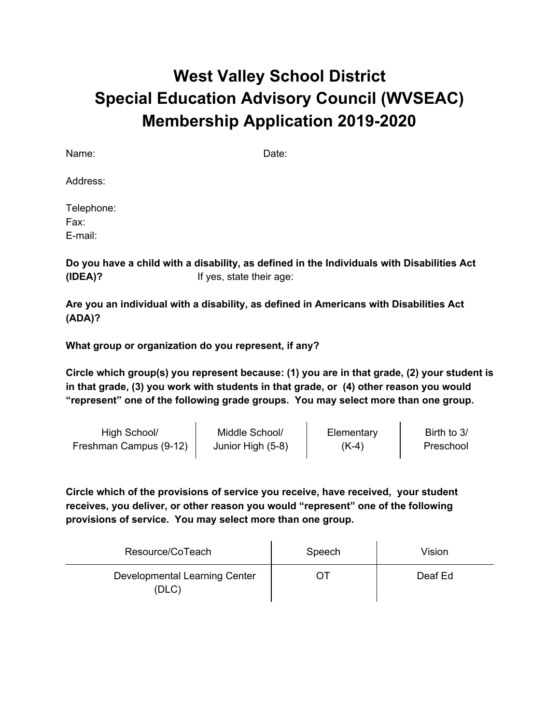## **West Valley School District Special Education Advisory Council (WVSEAC) Membership Application 2019-2020**

Name: Date:

Address:

Telephone: Fax: E-mail:

**Do you have a child with a disability, as defined in the Individuals with Disabilities Act (IDEA)?** If yes, state their age:

**Are you an individual with a disability, as defined in Americans with Disabilities Act (ADA)?**

**What group or organization do you represent, if any?**

**Circle which group(s) you represent because: (1) you are in that grade, (2) your student is in that grade, (3) you work with students in that grade, or (4) other reason you would "represent" one of the following grade groups. You may select more than one group.**

 $\mathcal{L}^{\mathcal{L}}$ 

| High School/           | Middle School/    | Elementary | Birth to 3/ |
|------------------------|-------------------|------------|-------------|
| Freshman Campus (9-12) | Junior High (5-8) | $(K-4)$    | Preschool   |

**Circle which of the provisions of service you receive, have received, your student receives, you deliver, or other reason you would "represent" one of the following provisions of service. You may select more than one group.**

| Resource/CoTeach                       | Speech | Vision  |
|----------------------------------------|--------|---------|
| Developmental Learning Center<br>(DLC) |        | Deaf Ed |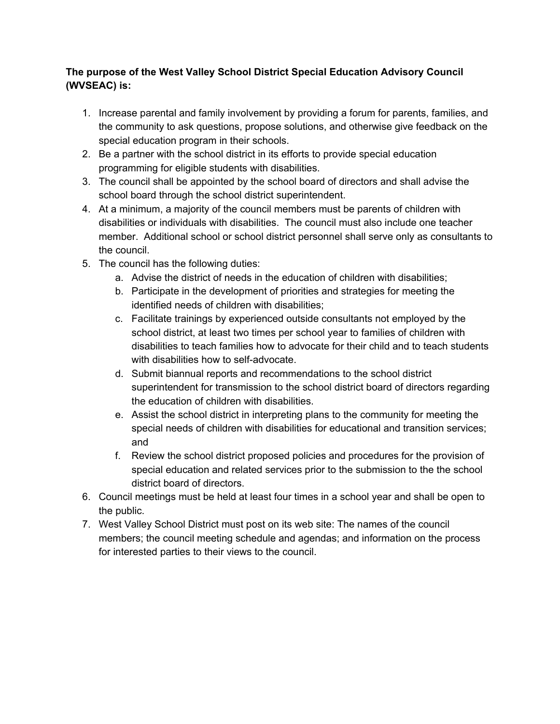## **The purpose of the West Valley School District Special Education Advisory Council (WVSEAC) is:**

- 1. Increase parental and family involvement by providing a forum for parents, families, and the community to ask questions, propose solutions, and otherwise give feedback on the special education program in their schools.
- 2. Be a partner with the school district in its efforts to provide special education programming for eligible students with disabilities.
- 3. The council shall be appointed by the school board of directors and shall advise the school board through the school district superintendent.
- 4. At a minimum, a majority of the council members must be parents of children with disabilities or individuals with disabilities. The council must also include one teacher member. Additional school or school district personnel shall serve only as consultants to the council.
- 5. The council has the following duties:
	- a. Advise the district of needs in the education of children with disabilities;
	- b. Participate in the development of priorities and strategies for meeting the identified needs of children with disabilities;
	- c. Facilitate trainings by experienced outside consultants not employed by the school district, at least two times per school year to families of children with disabilities to teach families how to advocate for their child and to teach students with disabilities how to self-advocate.
	- d. Submit biannual reports and recommendations to the school district superintendent for transmission to the school district board of directors regarding the education of children with disabilities.
	- e. Assist the school district in interpreting plans to the community for meeting the special needs of children with disabilities for educational and transition services; and
	- f. Review the school district proposed policies and procedures for the provision of special education and related services prior to the submission to the the school district board of directors.
- 6. Council meetings must be held at least four times in a school year and shall be open to the public.
- 7. West Valley School District must post on its web site: The names of the council members; the council meeting schedule and agendas; and information on the process for interested parties to their views to the council.